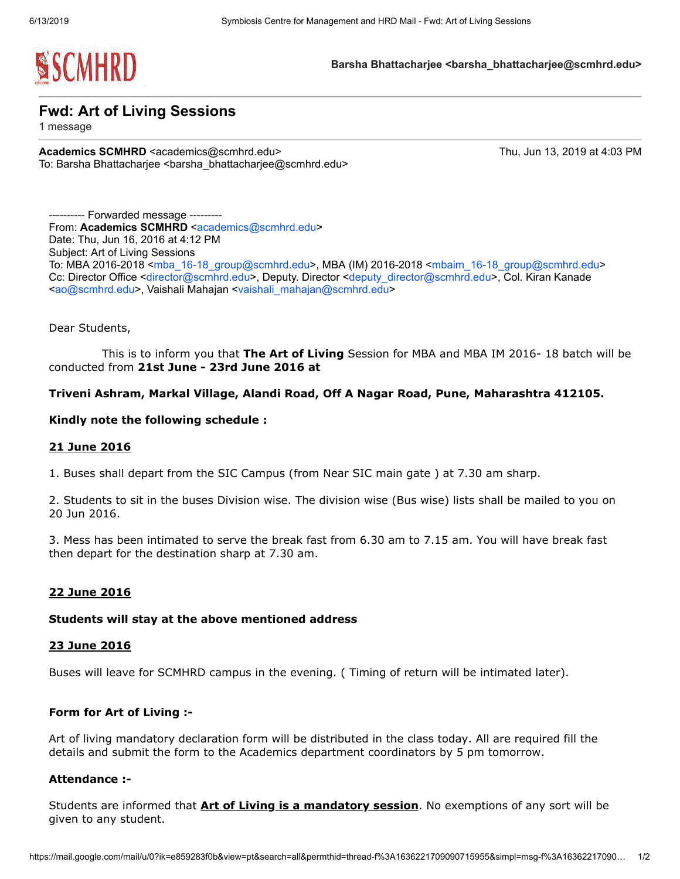

Barsha Bhattacharjee <br />
starsha Bhattacharjee@scmhrd.edu>

Fwd: Art of Living Sessions

1 message

Academics SCMHRD <academics@scmhrd.edu> Thu, Jun 13, 2019 at 4:03 PM To: Barsha Bhattacharjee <barsha\_bhattacharjee@scmhrd.edu>

---------- Forwarded message --------- From: Academics SCMHRD [<academics@scmhrd.edu>](mailto:academics@scmhrd.edu) Date: Thu, Jun 16, 2016 at 4:12 PM Subject: Art of Living Sessions To: MBA 2016-2018 [<mba\\_16-18\\_group@scmhrd.edu](mailto:mba_16-18_group@scmhrd.edu)>, MBA (IM) 2016-2018 [<mbaim\\_16-18\\_group@scmhrd.edu>](mailto:mbaim_16-18_group@scmhrd.edu) Cc: Director Office <[director@scmhrd.edu](mailto:director@scmhrd.edu)>, Deputy. Director <[deputy\\_director@scmhrd.edu](mailto:deputy_director@scmhrd.edu)>, Col. Kiran Kanade <[ao@scmhrd.edu](mailto:ao@scmhrd.edu)>, Vaishali Mahajan [<vaishali\\_mahajan@scmhrd.edu>](mailto:vaishali_mahajan@scmhrd.edu)

Dear Students,

This is to inform you that The Art of Living Session for MBA and MBA IM 2016-18 batch will be conducted from 21st June - 23rd June 2016 at

# Triveni Ashram, Markal Village, Alandi Road, Off A Nagar Road, Pune, Maharashtra 412105.

## Kindly note the following schedule :

### 21 June 2016

1. Buses shall depart from the SIC Campus (from Near SIC main gate ) at 7.30 am sharp.

2. Students to sit in the buses Division wise. The division wise (Bus wise) lists shall be mailed to you on 20 Jun 2016.

3. Mess has been intimated to serve the break fast from 6.30 am to 7.15 am. You will have break fast then depart for the destination sharp at 7.30 am.

# 22 June 2016

### Students will stay at the above mentioned address

### 23 June 2016

Buses will leave for SCMHRD campus in the evening. ( Timing of return will be intimated later).

### Form for Art of Living :-

Art of living mandatory declaration form will be distributed in the class today. All are required fill the details and submit the form to the Academics department coordinators by 5 pm tomorrow.

### Attendance :-

Students are informed that **Art of Living is a mandatory session**. No exemptions of any sort will be given to any student.